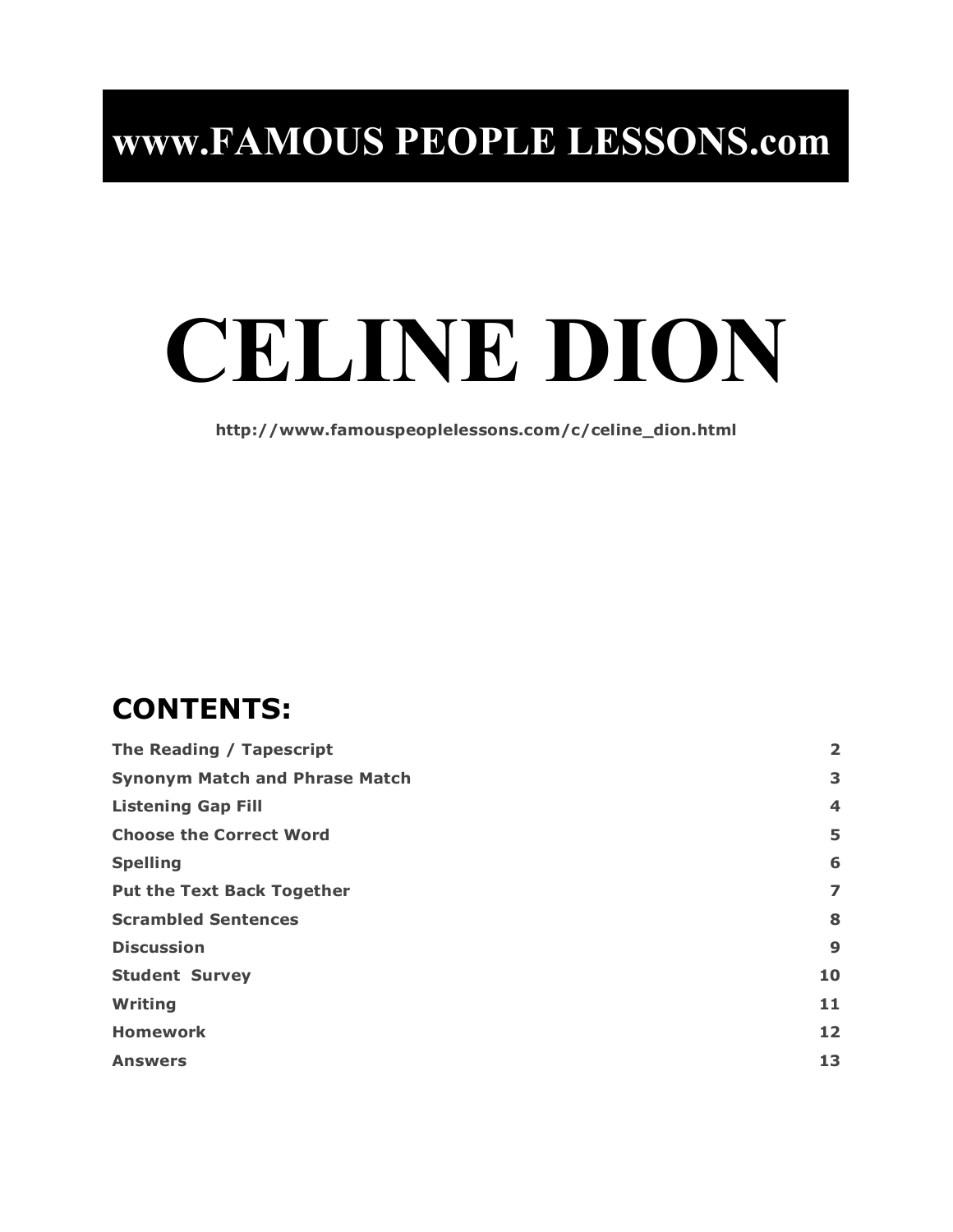## **www.FAMOUS PEOPLE LESSONS.com**

# **CELINE DION**

**http://www.famouspeoplelessons.com/c/celine\_dion.html**

## **CONTENTS:**

| The Reading / Tapescript              |    |
|---------------------------------------|----|
| <b>Synonym Match and Phrase Match</b> | 3  |
| <b>Listening Gap Fill</b>             | 4  |
| <b>Choose the Correct Word</b>        | 5  |
| <b>Spelling</b>                       | 6  |
| <b>Put the Text Back Together</b>     | 7  |
| <b>Scrambled Sentences</b>            | 8  |
| <b>Discussion</b>                     | 9  |
| <b>Student Survey</b>                 | 10 |
| Writing                               | 11 |
| <b>Homework</b>                       | 12 |
| <b>Answers</b>                        | 13 |
|                                       |    |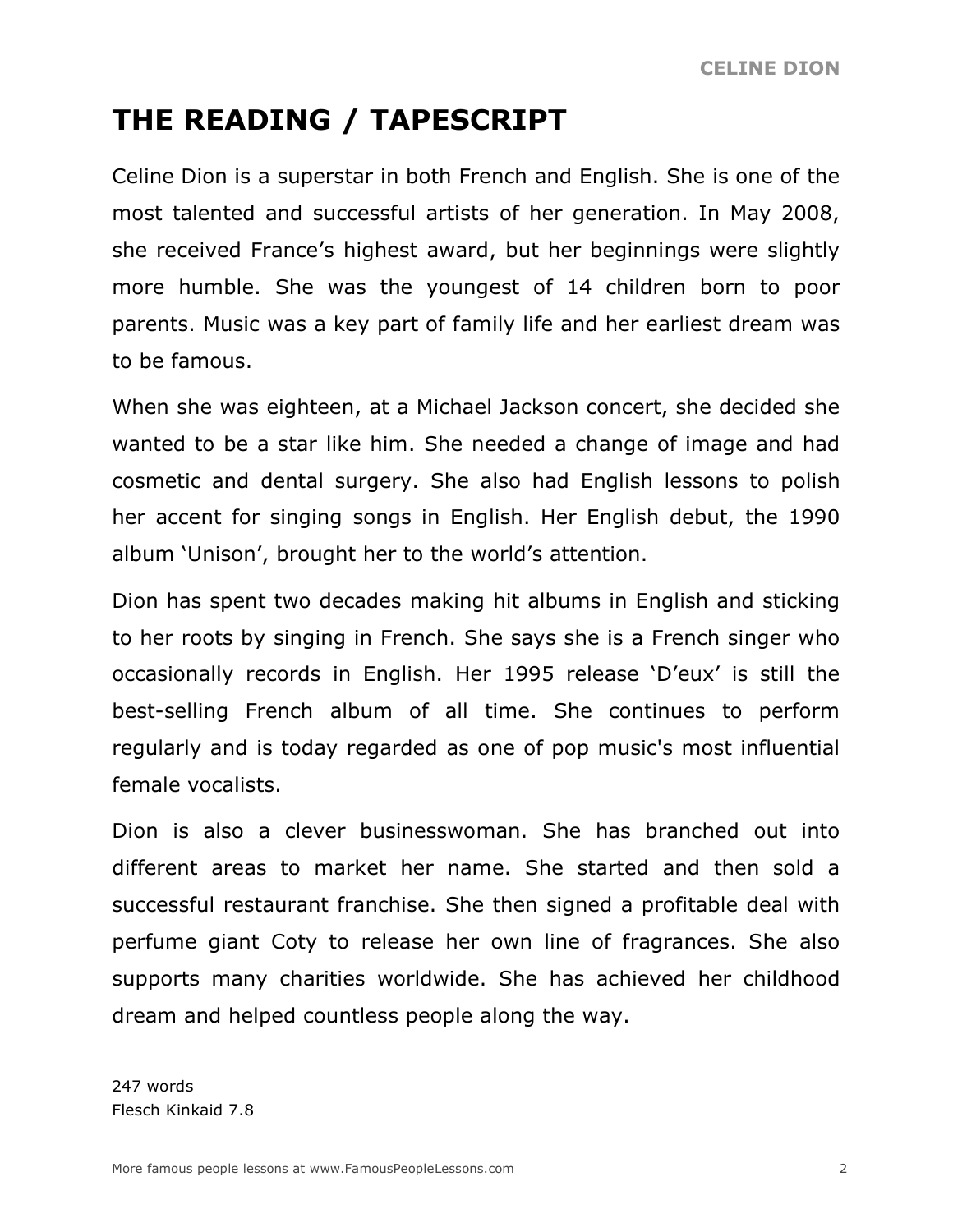## **THE READING / TAPESCRIPT**

Celine Dion is a superstar in both French and English. She is one of the most talented and successful artists of her generation. In May 2008, she received France's highest award, but her beginnings were slightly more humble. She was the youngest of 14 children born to poor parents. Music was a key part of family life and her earliest dream was to be famous.

When she was eighteen, at a Michael Jackson concert, she decided she wanted to be a star like him. She needed a change of image and had cosmetic and dental surgery. She also had English lessons to polish her accent for singing songs in English. Her English debut, the 1990 album 'Unison', brought her to the world's attention.

Dion has spent two decades making hit albums in English and sticking to her roots by singing in French. She says she is a French singer who occasionally records in English. Her 1995 release 'D'eux' is still the best-selling French album of all time. She continues to perform regularly and is today regarded as one of pop music's most influential female vocalists.

Dion is also a clever businesswoman. She has branched out into different areas to market her name. She started and then sold a successful restaurant franchise. She then signed a profitable deal with perfume giant Coty to release her own line of fragrances. She also supports many charities worldwide. She has achieved her childhood dream and helped countless people along the way.

247 words Flesch Kinkaid 7.8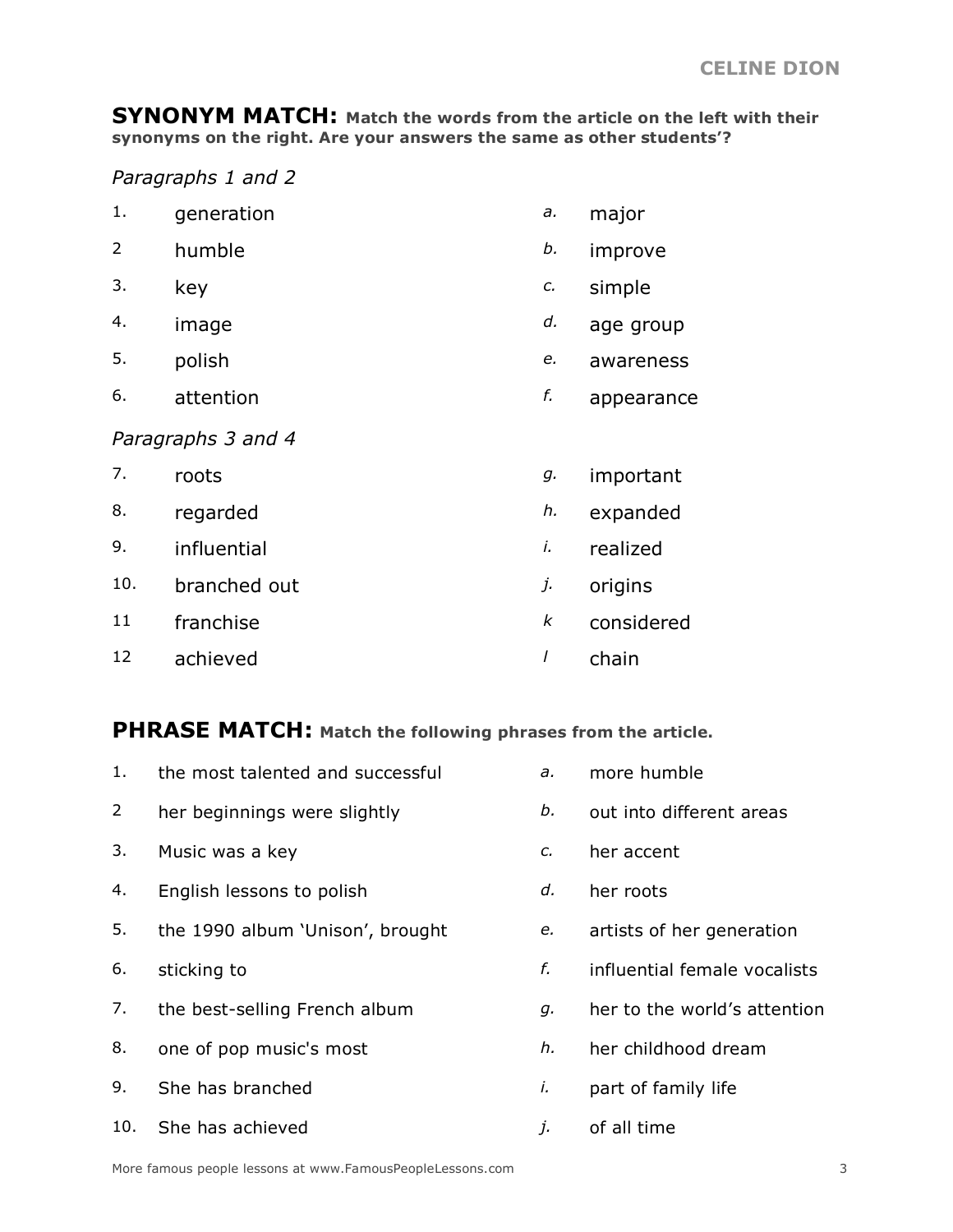**SYNONYM MATCH: Match the words from the article on the left with their synonyms on the right. Are your answers the same as other students'?**

*Paragraphs 1 and 2*

| 1. | generation | a. major |  |
|----|------------|----------|--|
| ∽  |            |          |  |

- 2 humble *b.* improve
- 3. key *c.* simple
- 4. image *d.* age group
- 5. polish *e.* awareness
- 6. attention *f.* appearance

#### *Paragraphs 3 and 4*

| 7.  | roots        | g. | important  |
|-----|--------------|----|------------|
| 8.  | regarded     | h. | expanded   |
| 9.  | influential  | İ. | realized   |
| 10. | branched out | j. | origins    |
| 11  | franchise    | k  | considered |
| 12  | achieved     |    | chain      |

#### **PHRASE MATCH: Match the following phrases from the article.**

| 1.             | the most talented and successful | a. | more humble                  |
|----------------|----------------------------------|----|------------------------------|
| $\overline{2}$ | her beginnings were slightly     | b. | out into different areas     |
| 3.             | Music was a key                  | c. | her accent                   |
| 4.             | English lessons to polish        | d. | her roots                    |
| 5.             | the 1990 album 'Unison', brought | e. | artists of her generation    |
| 6.             | sticking to                      | f. | influential female vocalists |
| 7.             | the best-selling French album    | g. | her to the world's attention |
| 8.             | one of pop music's most          | h. | her childhood dream          |
| 9.             | She has branched                 | i. | part of family life          |
| 10.            | She has achieved                 | j. | of all time                  |
|                |                                  |    |                              |

More famous people lessons at www.FamousPeopleLessons.com 3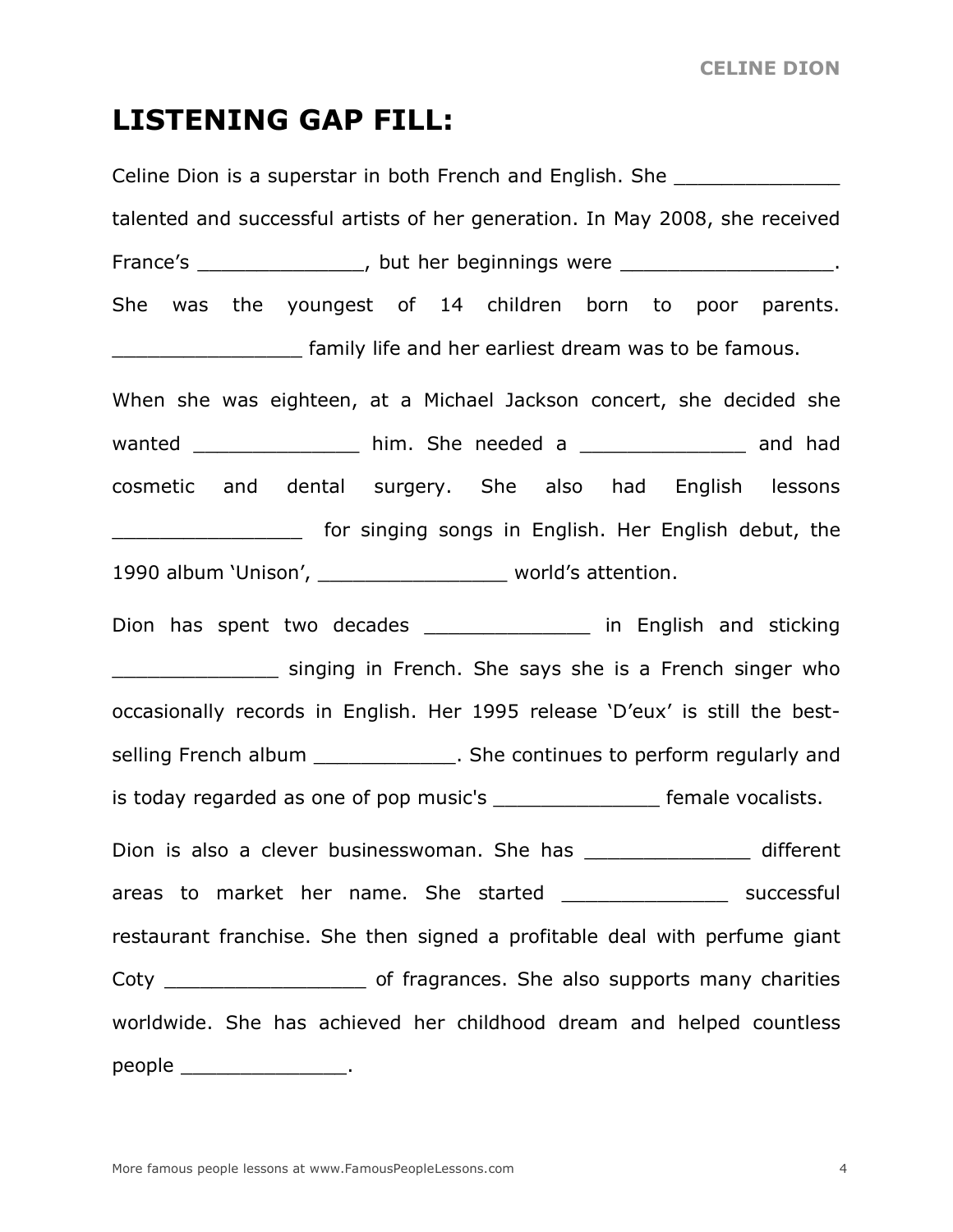### **LISTENING GAP FILL:**

Celine Dion is a superstar in both French and English. She talented and successful artists of her generation. In May 2008, she received France's The contract the sequentings were the contract of the contract of the contract of the contract of the contract of the contract of the contract of the contract of the contract of the contract of the contract of the She was the youngest of 14 children born to poor parents. **EXECUTE:** family life and her earliest dream was to be famous. When she was eighteen, at a Michael Jackson concert, she decided she wanted \_\_\_\_\_\_\_\_\_\_\_\_\_\_\_\_\_ him. She needed a \_\_\_\_\_\_\_\_\_\_\_\_\_\_\_ and had cosmetic and dental surgery. She also had English lessons \_\_\_\_\_\_\_\_\_\_\_\_\_\_\_\_ for singing songs in English. Her English debut, the 1990 album 'Unison', \_\_\_\_\_\_\_\_\_\_\_\_\_\_\_\_ world's attention. Dion has spent two decades \_\_\_\_\_\_\_\_\_\_\_\_\_\_\_\_\_ in English and sticking singing in French. She says she is a French singer who occasionally records in English. Her 1995 release 'D'eux' is still the bestselling French album \_\_\_\_\_\_\_\_\_\_\_\_\_\_. She continues to perform regularly and is today regarded as one of pop music's \_\_\_\_\_\_\_\_\_\_\_\_\_\_\_\_\_ female vocalists. Dion is also a clever businesswoman. She has \_\_\_\_\_\_\_\_\_\_\_\_\_\_\_\_\_ different areas to market her name. She started \_\_\_\_\_\_\_\_\_\_\_\_\_\_ successful restaurant franchise. She then signed a profitable deal with perfume giant Coty **Coty Example 20** of fragrances. She also supports many charities worldwide. She has achieved her childhood dream and helped countless people the control of the control of the control of the control of the control of the control of the control o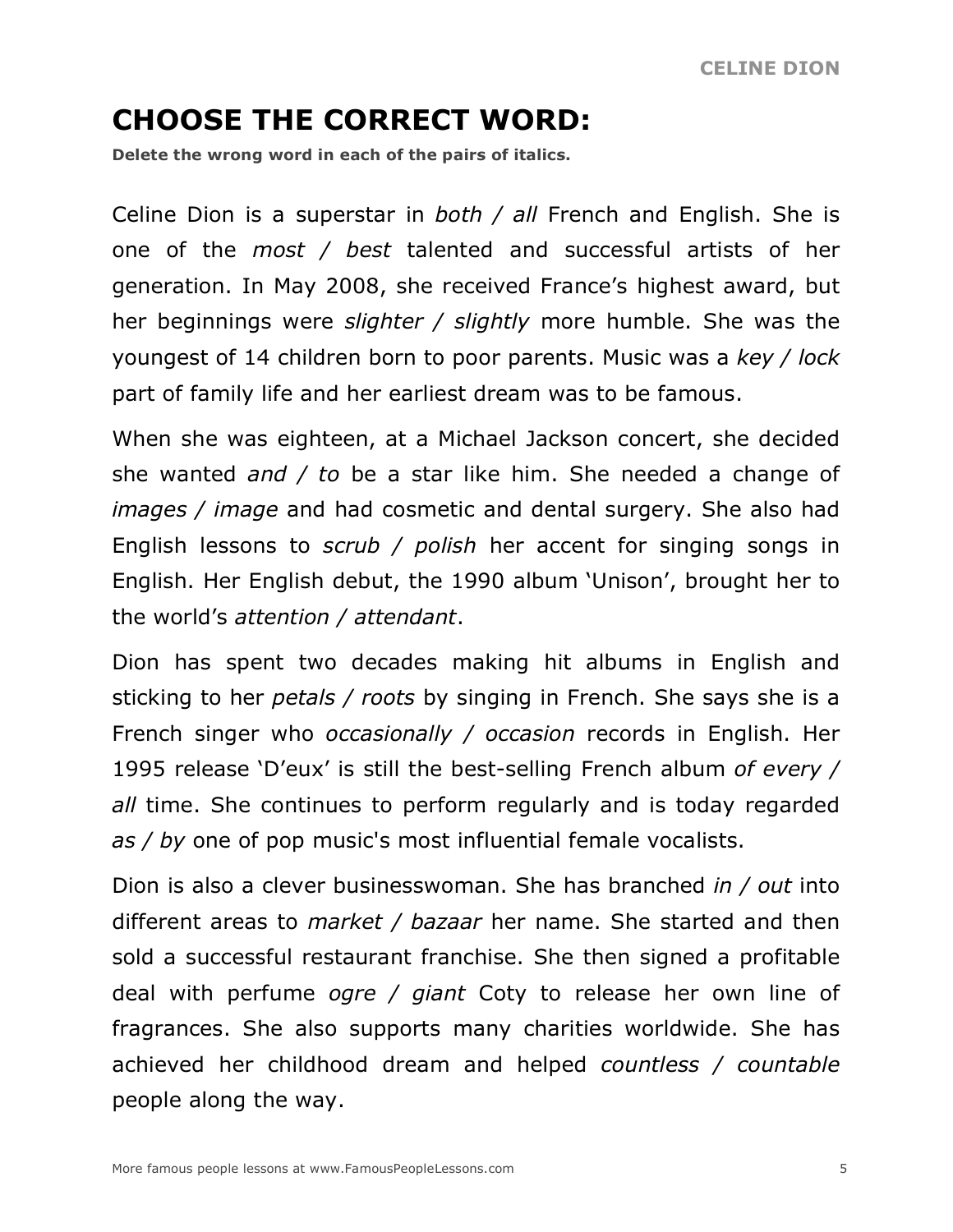## **CHOOSE THE CORRECT WORD:**

**Delete the wrong word in each of the pairs of italics.**

Celine Dion is a superstar in *both / all* French and English. She is one of the *most / best* talented and successful artists of her generation. In May 2008, she received France's highest award, but her beginnings were *slighter / slightly* more humble. She was the youngest of 14 children born to poor parents. Music was a *key / lock* part of family life and her earliest dream was to be famous.

When she was eighteen, at a Michael Jackson concert, she decided she wanted *and / to* be a star like him. She needed a change of *images / image* and had cosmetic and dental surgery. She also had English lessons to *scrub / polish* her accent for singing songs in English. Her English debut, the 1990 album 'Unison', brought her to the world's *attention / attendant*.

Dion has spent two decades making hit albums in English and sticking to her *petals / roots* by singing in French. She says she is a French singer who *occasionally / occasion* records in English. Her 1995 release 'D'eux' is still the best-selling French album *of every / all* time. She continues to perform regularly and is today regarded *as / by* one of pop music's most influential female vocalists.

Dion is also a clever businesswoman. She has branched *in / out* into different areas to *market / bazaar* her name. She started and then sold a successful restaurant franchise. She then signed a profitable deal with perfume *ogre / giant* Coty to release her own line of fragrances. She also supports many charities worldwide. She has achieved her childhood dream and helped *countless / countable* people along the way.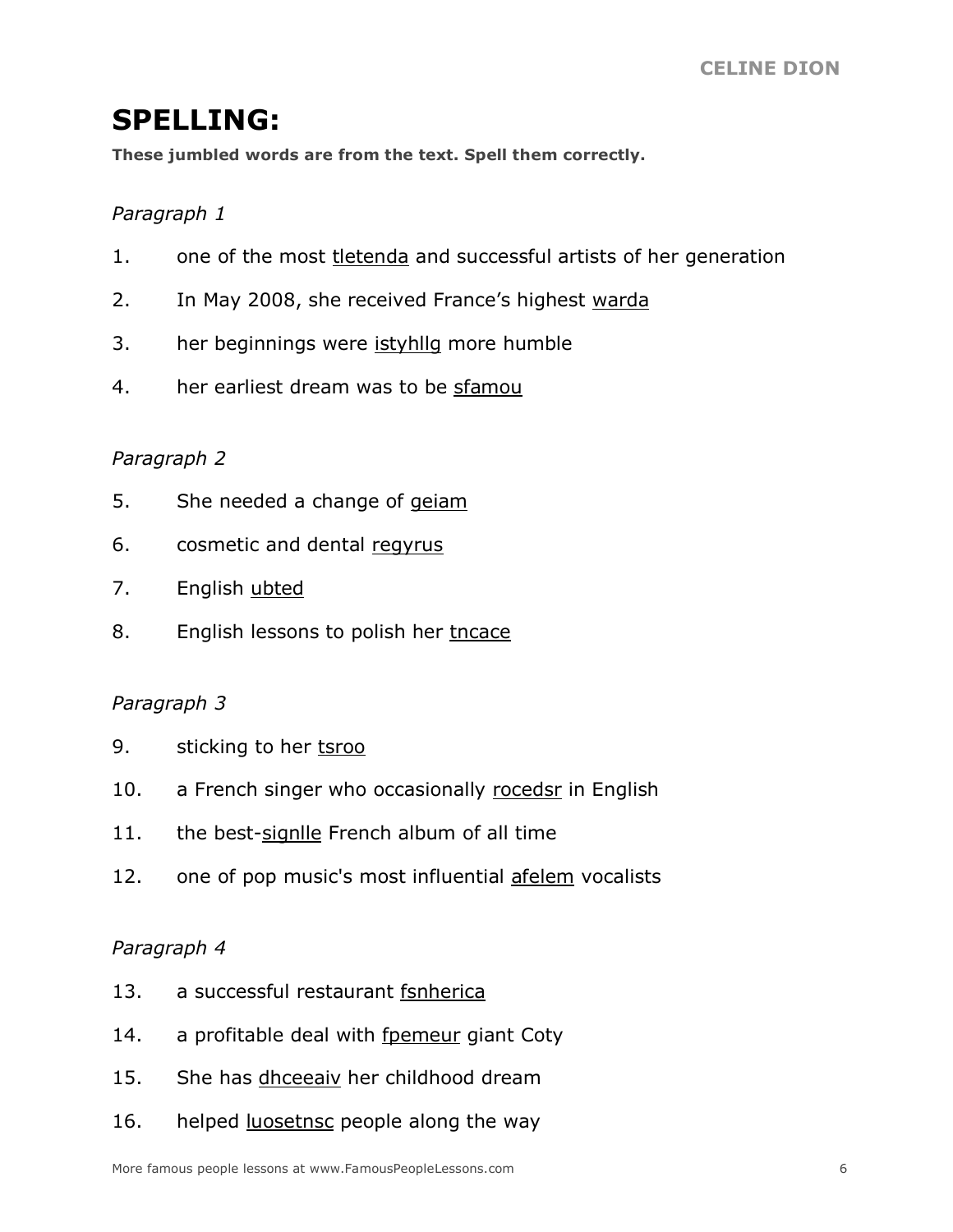#### **SPELLING:**

**These jumbled words are from the text. Spell them correctly.**

#### *Paragraph 1*

- 1. one of the most tletenda and successful artists of her generation
- 2. In May 2008, she received France's highest warda
- 3. her beginnings were istyhllg more humble
- 4. her earliest dream was to be sfamou

#### *Paragraph 2*

- 5. She needed a change of geiam
- 6. cosmetic and dental regyrus
- 7. English ubted
- 8. English lessons to polish her tncace

#### *Paragraph 3*

- 9. sticking to her tsroo
- 10. a French singer who occasionally rocedsr in English
- 11. the best-signlle French album of all time
- 12. one of pop music's most influential afelem vocalists

#### *Paragraph 4*

- 13. a successful restaurant fsnherica
- 14. a profitable deal with fpemeur giant Coty
- 15. She has dhceeaiv her childhood dream
- 16. helped luosetnsc people along the way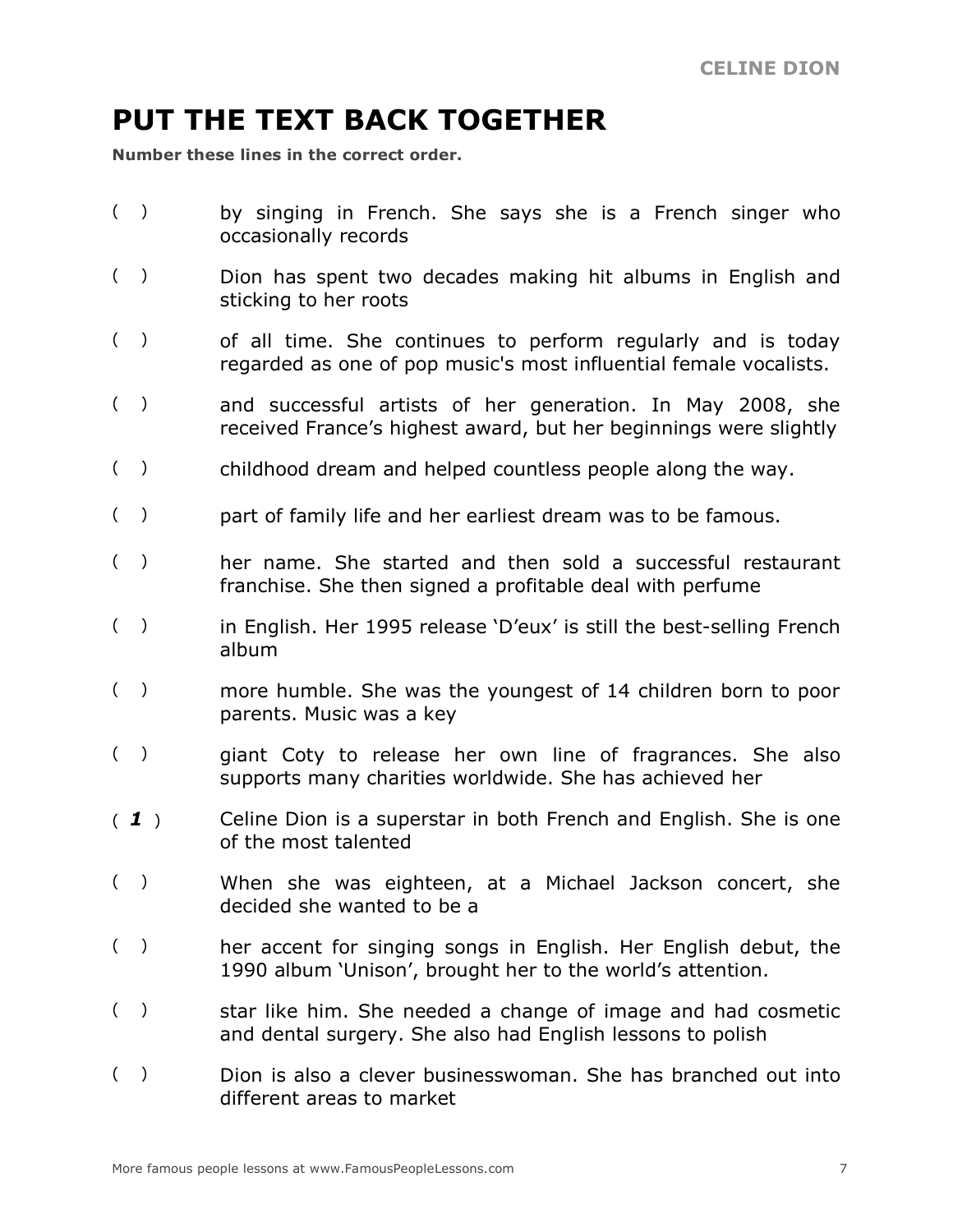## **PUT THE TEXT BACK TOGETHER**

**Number these lines in the correct order.**

- ( ) by singing in French. She says she is a French singer who occasionally records
- ( ) Dion has spent two decades making hit albums in English and sticking to her roots
- () of all time. She continues to perform regularly and is today regarded as one of pop music's most influential female vocalists.
- ( ) and successful artists of her generation. In May 2008, she received France's highest award, but her beginnings were slightly
- ( ) childhood dream and helped countless people along the way.
- ( ) part of family life and her earliest dream was to be famous.
- () her name. She started and then sold a successful restaurant franchise. She then signed a profitable deal with perfume
- ( ) in English. Her 1995 release 'D'eux' is still the best-selling French album
- ( ) more humble. She was the youngest of 14 children born to poor parents. Music was a key
- ( ) giant Coty to release her own line of fragrances. She also supports many charities worldwide. She has achieved her
- ( *1* ) Celine Dion is a superstar in both French and English. She is one of the most talented
- ( ) When she was eighteen, at a Michael Jackson concert, she decided she wanted to be a
- () her accent for singing songs in English. Her English debut, the 1990 album 'Unison', brought her to the world's attention.
- () star like him. She needed a change of image and had cosmetic and dental surgery. She also had English lessons to polish
- ( ) Dion is also a clever businesswoman. She has branched out into different areas to market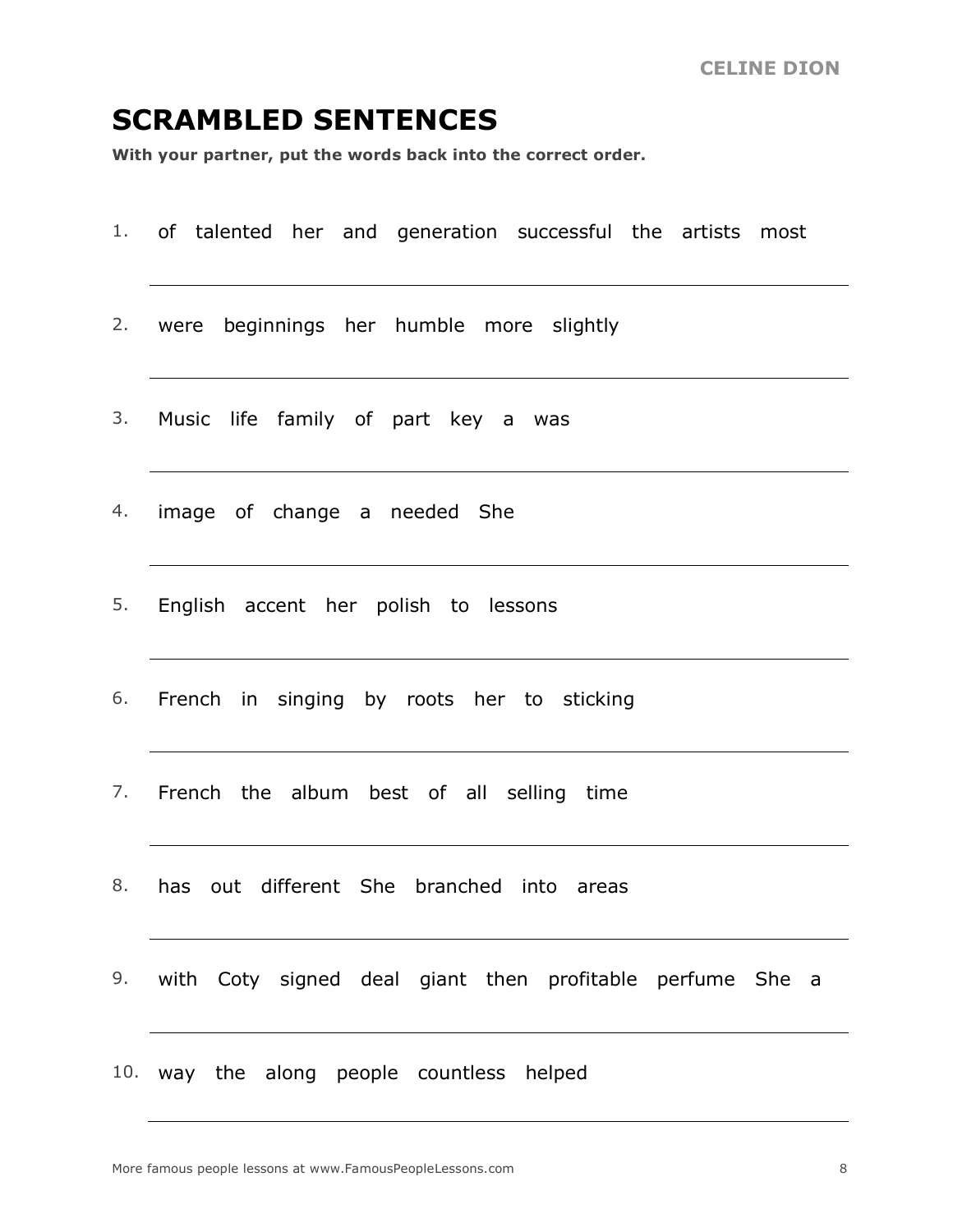#### **SCRAMBLED SENTENCES**

**With your partner, put the words back into the correct order.**

1. of talented her and generation successful the artists most 2. were beginnings her humble more slightly 3. Music life family of part key a was 4. image of change a needed She 5. English accent her polish to lessons 6. French in singing by roots her to sticking 7. French the album best of all selling time 8. has out different She branched into areas 9. with Coty signed deal giant then profitable perfume She a 10. way the along people countless helped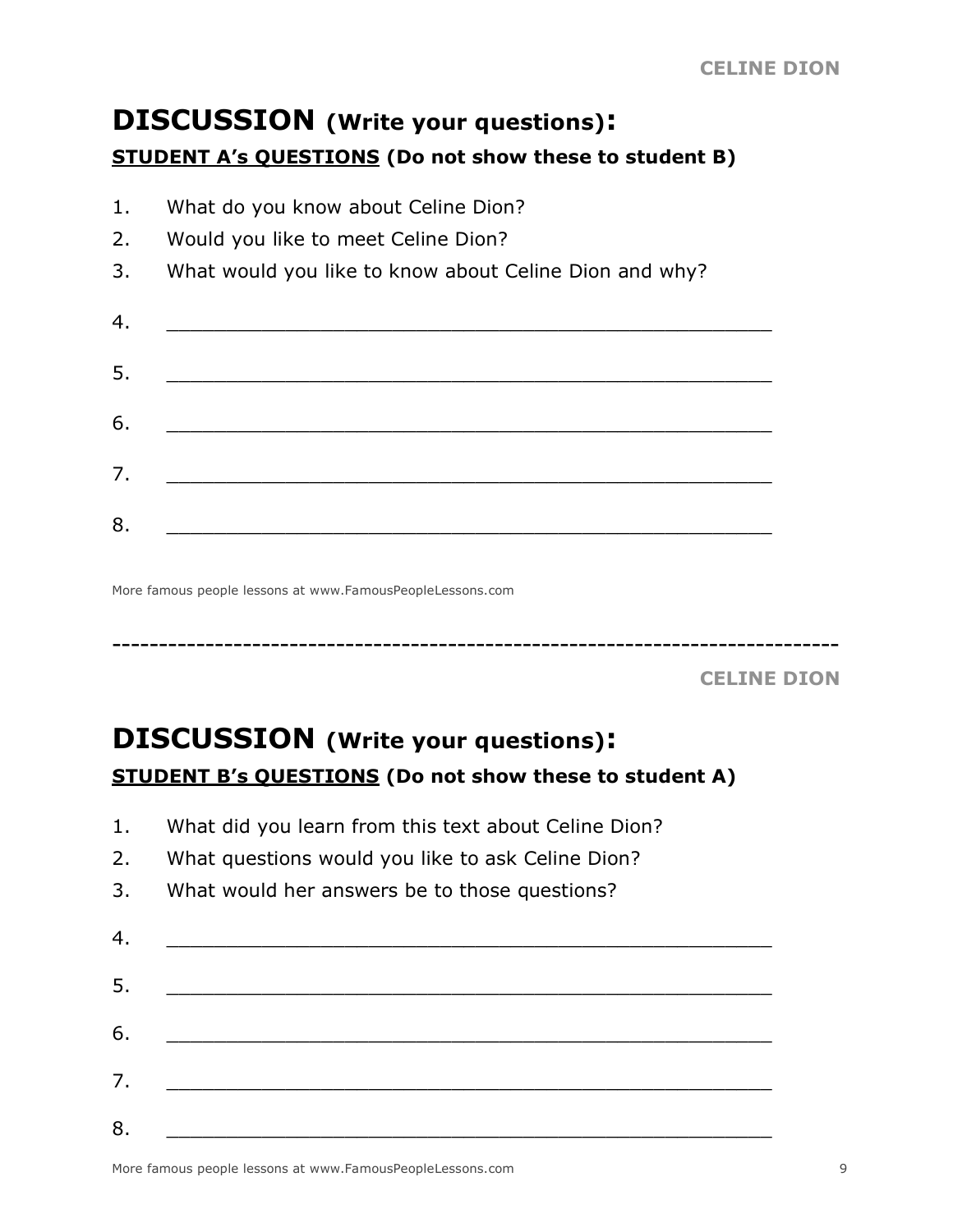#### **DISCUSSION (Write your questions): STUDENT A's QUESTIONS (Do not show these to student B)**

- 1. What do you know about Celine Dion?
- 2. Would you like to meet Celine Dion?
- 3. What would you like to know about Celine Dion and why?

| 4. |                                                                                                                      |  |  |
|----|----------------------------------------------------------------------------------------------------------------------|--|--|
| 5. |                                                                                                                      |  |  |
| 6. | <u> Territoria de la contenentación de la contenentación de la contenentación de la contenentación de la contene</u> |  |  |
| 7. | <u> 1980 - Jan Barnett, mars et al. (</u> † 1920)                                                                    |  |  |
| 8. |                                                                                                                      |  |  |

More famous people lessons at www.FamousPeopleLessons.com

**CELINE DION**

## **DISCUSSION (Write your questions): STUDENT B's QUESTIONS (Do not show these to student A)**

------------------------------------------------------------------------------

- 1. What did you learn from this text about Celine Dion?
- 2. What questions would you like to ask Celine Dion?
- 3. What would her answers be to those questions?

| 4. |  |
|----|--|
| 5. |  |
| 6. |  |
| 7. |  |
| 8. |  |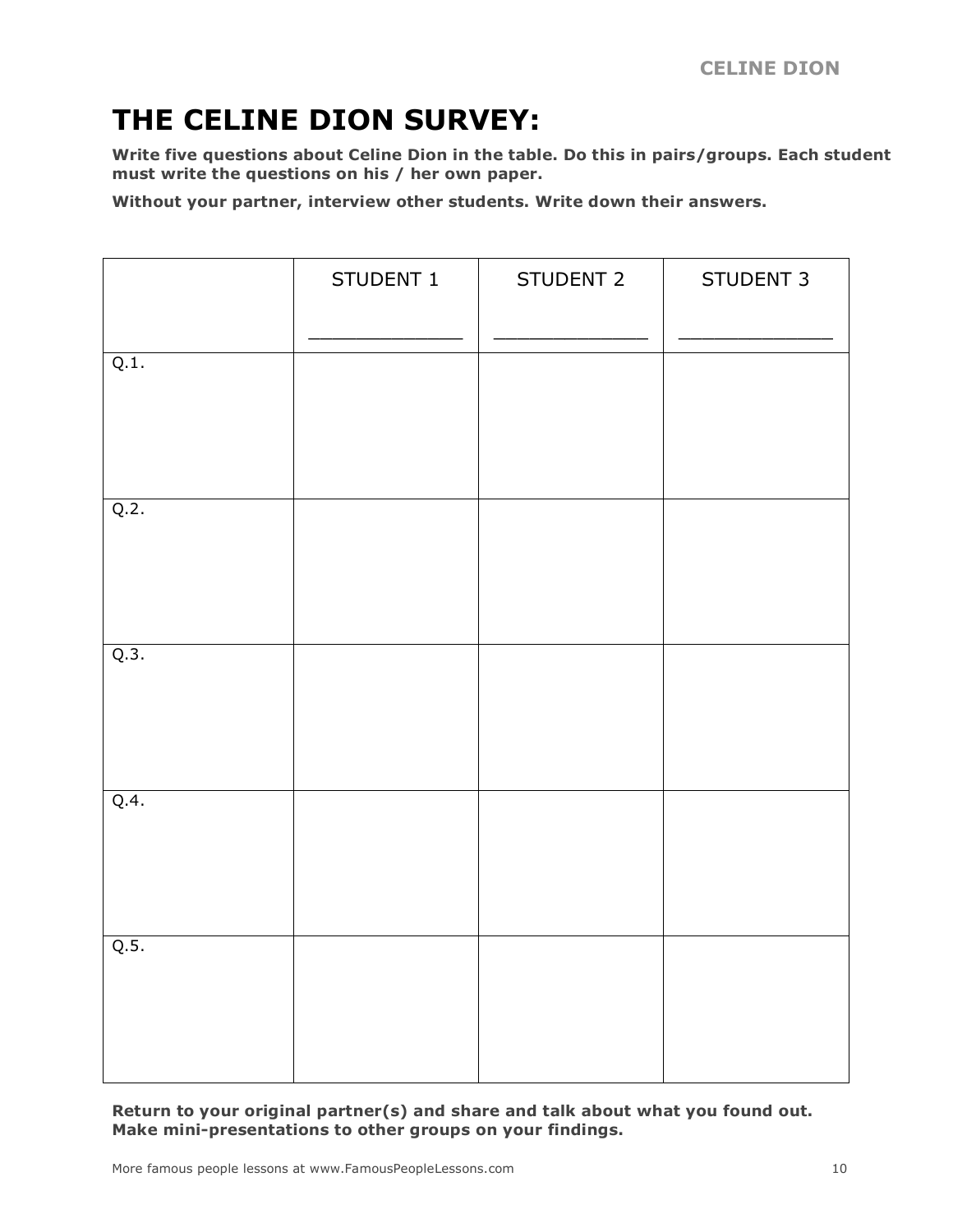## **THE CELINE DION SURVEY:**

**Write five questions about Celine Dion in the table. Do this in pairs/groups. Each student must write the questions on his / her own paper.**

**Without your partner, interview other students. Write down their answers.**

|      | STUDENT 1 | STUDENT 2 | STUDENT 3 |
|------|-----------|-----------|-----------|
| Q.1. |           |           |           |
| Q.2. |           |           |           |
| Q.3. |           |           |           |
| Q.4. |           |           |           |
| Q.5. |           |           |           |

**Return to your original partner(s) and share and talk about what you found out. Make mini-presentations to other groups on your findings.**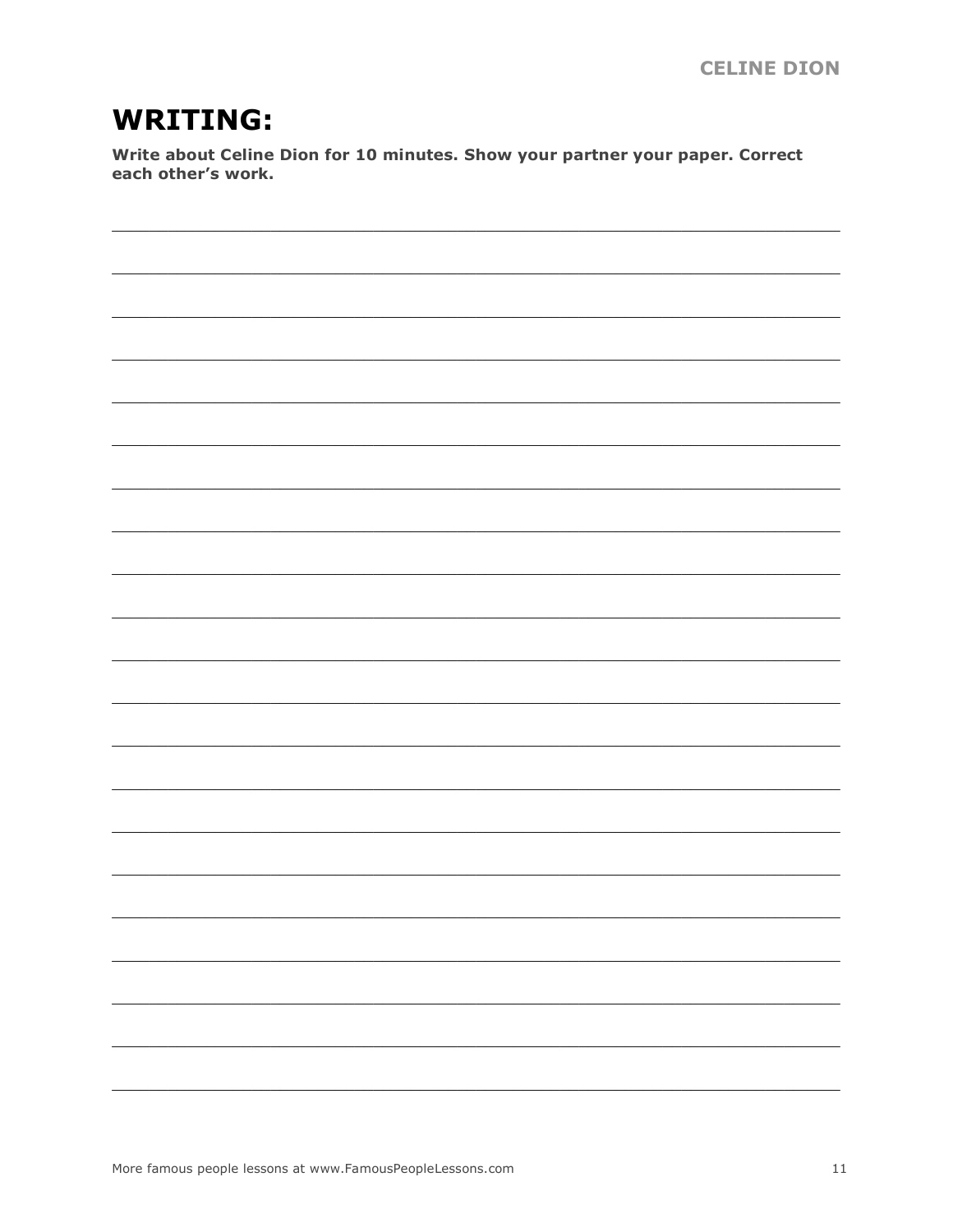## **WRITING:**

Write about Celine Dion for 10 minutes. Show your partner your paper. Correct each other's work.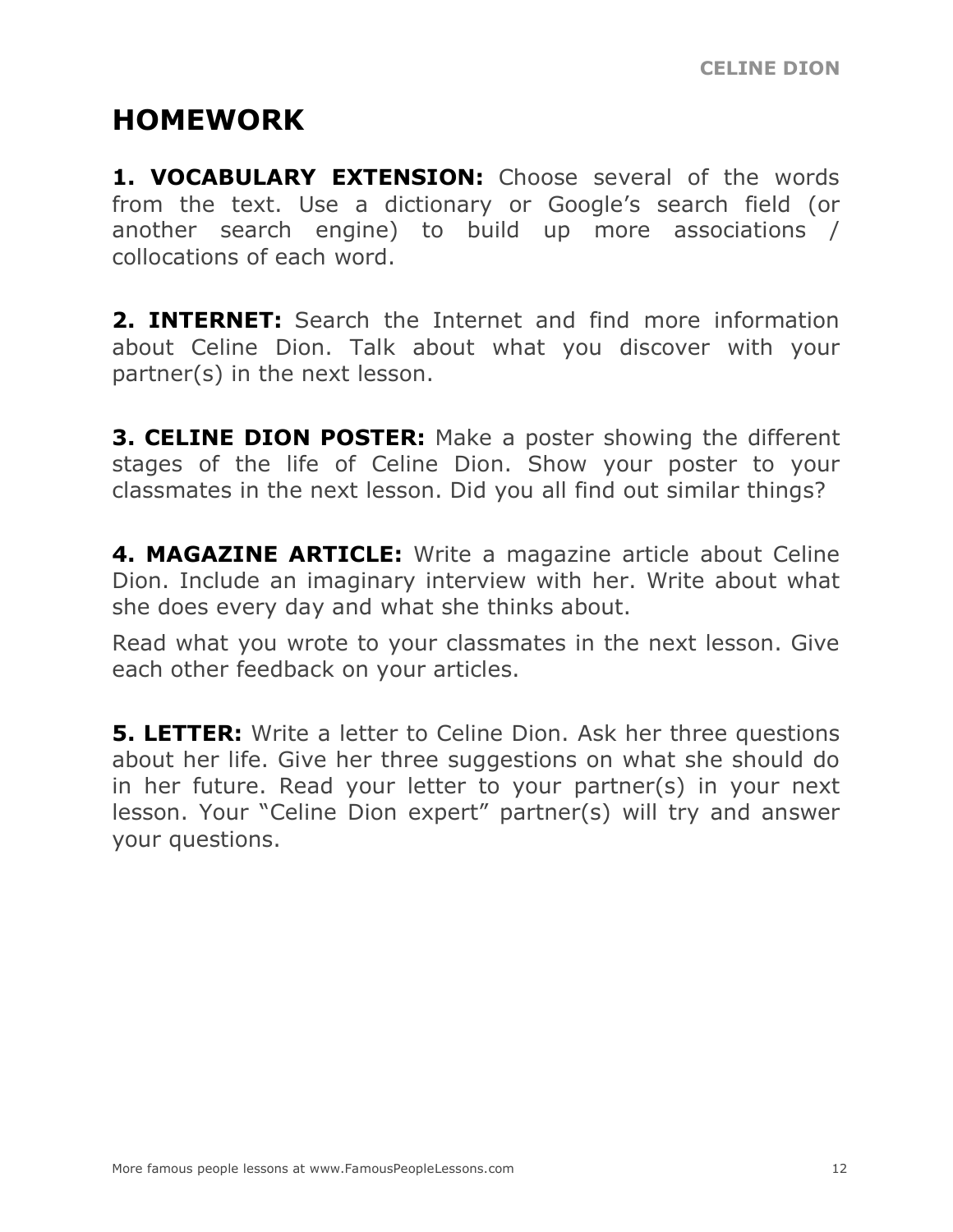## **HOMEWORK**

**1. VOCABULARY EXTENSION:** Choose several of the words from the text. Use a dictionary or Google's search field (or another search engine) to build up more associations / collocations of each word.

**2. INTERNET:** Search the Internet and find more information about Celine Dion. Talk about what you discover with your partner(s) in the next lesson.

**3. CELINE DION POSTER:** Make a poster showing the different stages of the life of Celine Dion. Show your poster to your classmates in the next lesson. Did you all find out similar things?

**4. MAGAZINE ARTICLE:** Write a magazine article about Celine Dion. Include an imaginary interview with her. Write about what she does every day and what she thinks about.

Read what you wrote to your classmates in the next lesson. Give each other feedback on your articles.

**5. LETTER:** Write a letter to Celine Dion. Ask her three questions about her life. Give her three suggestions on what she should do in her future. Read your letter to your partner(s) in your next lesson. Your "Celine Dion expert" partner(s) will try and answer your questions.